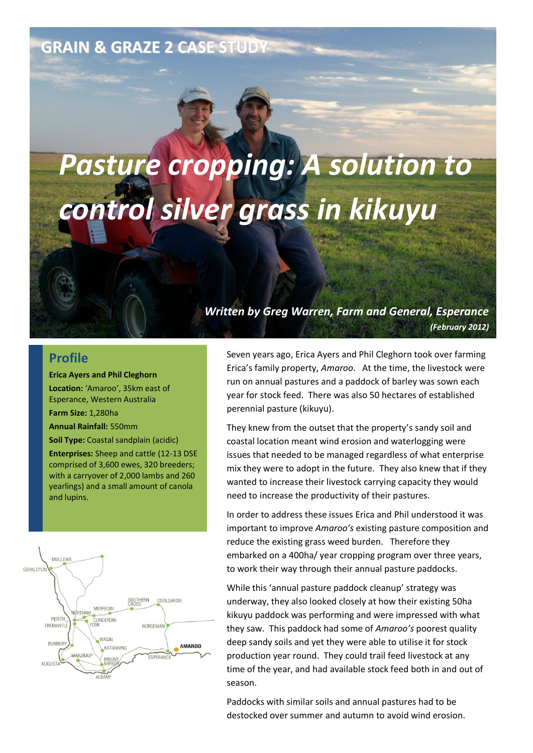## **GRAIN & GRAZE 2 CASE STUDY**

# *Pasture cropping: A solution to control silver grass in kikuyu*

#### *Written by Greg Warren, Farm and General, Esperance (February 2012)*

#### **Profile**

**Erica Ayers and Phil Cleghorn**

**Location:** 'Amaroo', 35km east of Esperance, Western Australia

**Farm Size:** 1,280ha

**Annual Rainfall:** 550mm

**Soil Type:** Coastal sandplain (acidic)

**Enterprises:** Sheep and cattle (12-13 DSE comprised of 3,600 ewes, 320 breeders; with a carryover of 2,000 lambs and 260 yearlings) and a small amount of canola and lupins.



Seven years ago, Erica Ayers and Phil Cleghorn took over farming Erica's family property, *Amaroo*. At the time, the livestock were run on annual pastures and a paddock of barley was sown each year for stock feed. There was also 50 hectares of established perennial pasture (kikuyu).

They knew from the outset that the property's sandy soil and coastal location meant wind erosion and waterlogging were issues that needed to be managed regardless of what enterprise mix they were to adopt in the future. They also knew that if they wanted to increase their livestock carrying capacity they would need to increase the productivity of their pastures.

In order to address these issues Erica and Phil understood it was important to improve *Amaroo's* existing pasture composition and reduce the existing grass weed burden. Therefore they embarked on a 400ha/ year cropping program over three years, to work their way through their annual pasture paddocks.

While this 'annual pasture paddock cleanup' strategy was underway, they also looked closely at how their existing 50ha kikuyu paddock was performing and were impressed with what they saw. This paddock had some of *Amaroo's* poorest quality deep sandy soils and yet they were able to utilise it for stock production year round. They could trail feed livestock at any time of the year, and had available stock feed both in and out of season.

Paddocks with similar soils and annual pastures had to be destocked over summer and autumn to avoid wind erosion.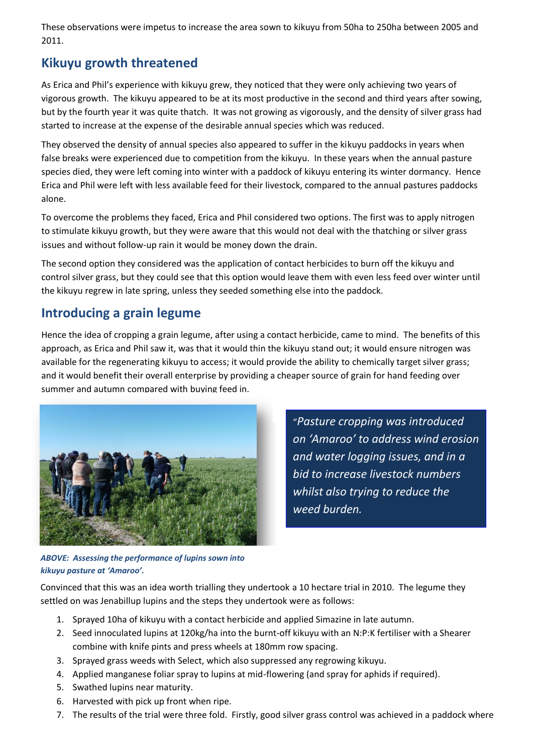These observations were impetus to increase the area sown to kikuyu from 50ha to 250ha between 2005 and 2011.

## **Kikuyu growth threatened**

As Erica and Phil's experience with kikuyu grew, they noticed that they were only achieving two years of vigorous growth. The kikuyu appeared to be at its most productive in the second and third years after sowing, but by the fourth year it was quite thatch. It was not growing as vigorously, and the density of silver grass had started to increase at the expense of the desirable annual species which was reduced.

They observed the density of annual species also appeared to suffer in the kikuyu paddocks in years when false breaks were experienced due to competition from the kikuyu. In these years when the annual pasture species died, they were left coming into winter with a paddock of kikuyu entering its winter dormancy. Hence Erica and Phil were left with less available feed for their livestock, compared to the annual pastures paddocks alone.

To overcome the problems they faced, Erica and Phil considered two options. The first was to apply nitrogen to stimulate kikuyu growth, but they were aware that this would not deal with the thatching or silver grass issues and without follow-up rain it would be money down the drain.

The second option they considered was the application of contact herbicides to burn off the kikuyu and control silver grass, but they could see that this option would leave them with even less feed over winter until the kikuyu regrew in late spring, unless they seeded something else into the paddock.

## **Introducing a grain legume**

Hence the idea of cropping a grain legume, after using a contact herbicide, came to mind. The benefits of this approach, as Erica and Phil saw it, was that it would thin the kikuyu stand out; it would ensure nitrogen was available for the regenerating kikuyu to access; it would provide the ability to chemically target silver grass; and it would benefit their overall enterprise by providing a cheaper source of grain for hand feeding over summer and autumn compared with buying feed in.



"*Pasture cropping was introduced on 'Amaroo' to address wind erosion and water logging issues, and in a bid to increase livestock numbers whilst also trying to reduce the weed burden.*

*ABOVE: Assessing the performance of lupins sown into kikuyu pasture at 'Amaroo'.*

Convinced that this was an idea worth trialling they undertook a 10 hectare trial in 2010. The legume they settled on was Jenabillup lupins and the steps they undertook were as follows:

- 1. Sprayed 10ha of kikuyu with a contact herbicide and applied Simazine in late autumn.
- 2. Seed innoculated lupins at 120kg/ha into the burnt-off kikuyu with an N:P:K fertiliser with a Shearer combine with knife pints and press wheels at 180mm row spacing.
- 3. Sprayed grass weeds with Select, which also suppressed any regrowing kikuyu.
- 4. Applied manganese foliar spray to lupins at mid-flowering (and spray for aphids if required).
- 5. Swathed lupins near maturity.
- 6. Harvested with pick up front when ripe.
- 7. The results of the trial were three fold. Firstly, good silver grass control was achieved in a paddock where